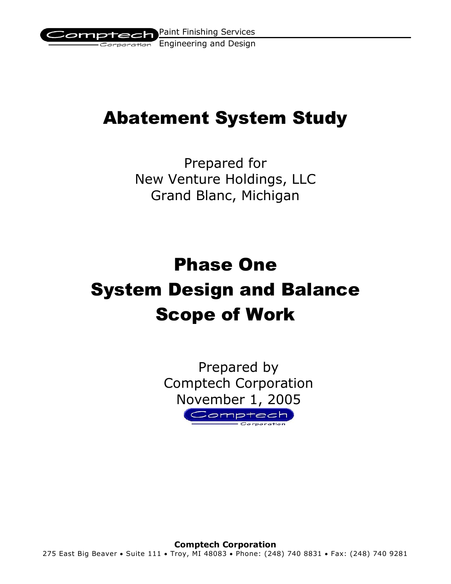

## Abatement System Study

Prepared for New Venture Holdings, LLC Grand Blanc, Michigan

# Phase One System Design and Balance Scope of Work

Prepared by Comptech Corporation November 1, 2005Comptech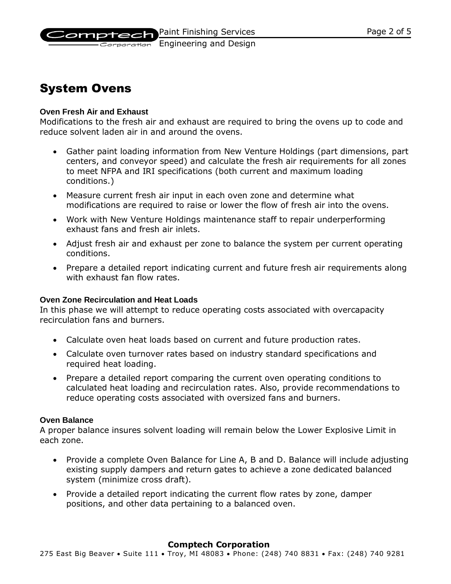

Corporation Engineering and Design

## System Ovens

#### **Oven Fresh Air and Exhaust**

Modifications to the fresh air and exhaust are required to bring the ovens up to code and reduce solvent laden air in and around the ovens.

- Gather paint loading information from New Venture Holdings (part dimensions, part centers, and conveyor speed) and calculate the fresh air requirements for all zones to meet NFPA and IRI specifications (both current and maximum loading conditions.)
- Measure current fresh air input in each oven zone and determine what modifications are required to raise or lower the flow of fresh air into the ovens.
- Work with New Venture Holdings maintenance staff to repair underperforming exhaust fans and fresh air inlets.
- Adjust fresh air and exhaust per zone to balance the system per current operating conditions.
- Prepare a detailed report indicating current and future fresh air requirements along with exhaust fan flow rates.

#### **Oven Zone Recirculation and Heat Loads**

In this phase we will attempt to reduce operating costs associated with overcapacity recirculation fans and burners.

- Calculate oven heat loads based on current and future production rates.
- Calculate oven turnover rates based on industry standard specifications and required heat loading.
- Prepare a detailed report comparing the current oven operating conditions to calculated heat loading and recirculation rates. Also, provide recommendations to reduce operating costs associated with oversized fans and burners.

#### **Oven Balance**

A proper balance insures solvent loading will remain below the Lower Explosive Limit in each zone.

- Provide a complete Oven Balance for Line A, B and D. Balance will include adjusting existing supply dampers and return gates to achieve a zone dedicated balanced system (minimize cross draft).
- Provide a detailed report indicating the current flow rates by zone, damper positions, and other data pertaining to a balanced oven.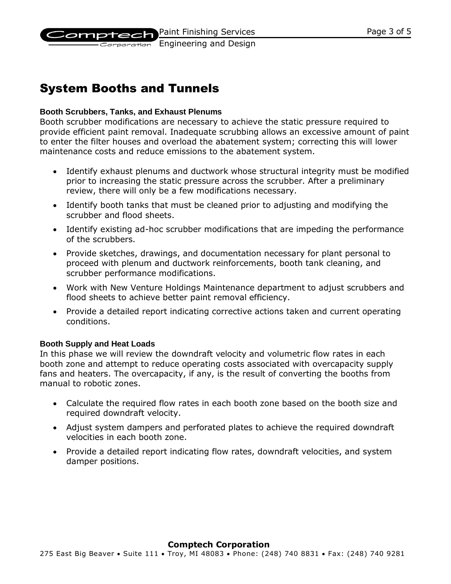Paint Finishing Services

omptech Corporation Engineering and Design

## System Booths and Tunnels

#### **Booth Scrubbers, Tanks, and Exhaust Plenums**

Booth scrubber modifications are necessary to achieve the static pressure required to provide efficient paint removal. Inadequate scrubbing allows an excessive amount of paint to enter the filter houses and overload the abatement system; correcting this will lower maintenance costs and reduce emissions to the abatement system.

- Identify exhaust plenums and ductwork whose structural integrity must be modified prior to increasing the static pressure across the scrubber. After a preliminary review, there will only be a few modifications necessary.
- Identify booth tanks that must be cleaned prior to adjusting and modifying the scrubber and flood sheets.
- Identify existing ad-hoc scrubber modifications that are impeding the performance of the scrubbers.
- Provide sketches, drawings, and documentation necessary for plant personal to proceed with plenum and ductwork reinforcements, booth tank cleaning, and scrubber performance modifications.
- Work with New Venture Holdings Maintenance department to adjust scrubbers and flood sheets to achieve better paint removal efficiency.
- Provide a detailed report indicating corrective actions taken and current operating conditions.

#### **Booth Supply and Heat Loads**

In this phase we will review the downdraft velocity and volumetric flow rates in each booth zone and attempt to reduce operating costs associated with overcapacity supply fans and heaters. The overcapacity, if any, is the result of converting the booths from manual to robotic zones.

- Calculate the required flow rates in each booth zone based on the booth size and required downdraft velocity.
- Adjust system dampers and perforated plates to achieve the required downdraft velocities in each booth zone.
- Provide a detailed report indicating flow rates, downdraft velocities, and system damper positions.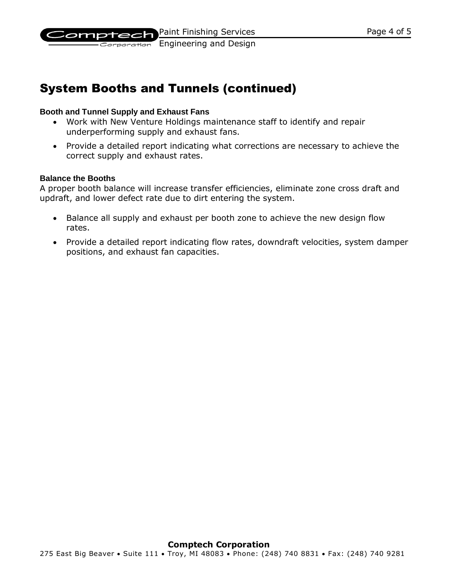

Corporation Engineering and Design

## System Booths and Tunnels (continued)

#### **Booth and Tunnel Supply and Exhaust Fans**

- Work with New Venture Holdings maintenance staff to identify and repair underperforming supply and exhaust fans.
- Provide a detailed report indicating what corrections are necessary to achieve the correct supply and exhaust rates.

#### **Balance the Booths**

A proper booth balance will increase transfer efficiencies, eliminate zone cross draft and updraft, and lower defect rate due to dirt entering the system.

- Balance all supply and exhaust per booth zone to achieve the new design flow rates.
- Provide a detailed report indicating flow rates, downdraft velocities, system damper positions, and exhaust fan capacities.